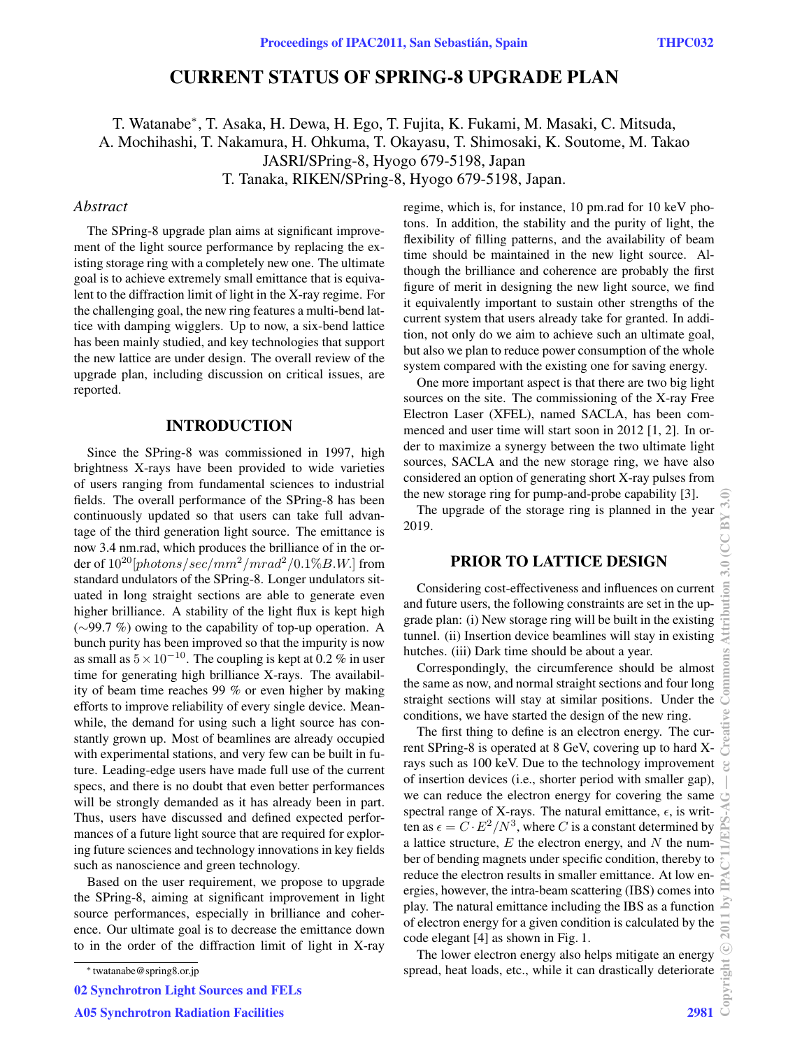# CURRENT STATUS OF SPRING-8 UPGRADE PLAN

T. Watanabe∗, T. Asaka, H. Dewa, H. Ego, T. Fujita, K. Fukami, M. Masaki, C. Mitsuda, A. Mochihashi, T. Nakamura, H. Ohkuma, T. Okayasu, T. Shimosaki, K. Soutome, M. Takao JASRI/SPring-8, Hyogo 679-5198, Japan T. Tanaka, RIKEN/SPring-8, Hyogo 679-5198, Japan.

### *Abstract*

The SPring-8 upgrade plan aims at significant improvement of the light source performance by replacing the existing storage ring with a completely new one. The ultimate goal is to achieve extremely small emittance that is equivalent to the diffraction limit of light in the X-ray regime. For the challenging goal, the new ring features a multi-bend lattice with damping wigglers. Up to now, a six-bend lattice has been mainly studied, and key technologies that support the new lattice are under design. The overall review of the upgrade plan, including discussion on critical issues, are reported.

#### INTRODUCTION

Since the SPring-8 was commissioned in 1997, high brightness X-rays have been provided to wide varieties of users ranging from fundamental sciences to industrial fields. The overall performance of the SPring-8 has been continuously updated so that users can take full advantage of the third generation light source. The emittance is now 3.4 nm.rad, which produces the brilliance of in the order of  $10^{20}$ [photons/sec/mm<sup>2</sup>/mrad<sup>2</sup>/0.1%B.W.] from standard undulators of the SPring-8. Longer undulators situated in long straight sections are able to generate even higher brilliance. A stability of the light flux is kept high (∼99.7 %) owing to the capability of top-up operation. A bunch purity has been improved so that the impurity is now as small as  $5 \times 10^{-10}$ . The coupling is kept at 0.2 % in user time for generating high brilliance X-rays. The availability of beam time reaches 99 % or even higher by making efforts to improve reliability of every single device. Meanwhile, the demand for using such a light source has constantly grown up. Most of beamlines are already occupied with experimental stations, and very few can be built in future. Leading-edge users have made full use of the current specs, and there is no doubt that even better performances will be strongly demanded as it has already been in part. Thus, users have discussed and defined expected performances of a future light source that are required for exploring future sciences and technology innovations in key fields such as nanoscience and green technology.

Based on the user requirement, we propose to upgrade the SPring-8, aiming at significant improvement in light source performances, especially in brilliance and coherence. Our ultimate goal is to decrease the emittance down to in the order of the diffraction limit of light in X-ray

02 Synchrotron Light Sources and FELs

regime, which is, for instance, 10 pm.rad for 10 keV photons. In addition, the stability and the purity of light, the flexibility of filling patterns, and the availability of beam time should be maintained in the new light source. Although the brilliance and coherence are probably the first figure of merit in designing the new light source, we find it equivalently important to sustain other strengths of the current system that users already take for granted. In addition, not only do we aim to achieve such an ultimate goal, but also we plan to reduce power consumption of the whole system compared with the existing one for saving energy.

One more important aspect is that there are two big light sources on the site. The commissioning of the X-ray Free Electron Laser (XFEL), named SACLA, has been commenced and user time will start soon in 2012 [1, 2]. In order to maximize a synergy between the two ultimate light sources, SACLA and the new storage ring, we have also considered an option of generating short X-ray pulses from the new storage ring for pump-and-probe capability [3].

The upgrade of the storage ring is planned in the year 2019.

### PRIOR TO LATTICE DESIGN

Considering cost-effectiveness and influences on current and future users, the following constraints are set in the upgrade plan: (i) New storage ring will be built in the existing tunnel. (ii) Insertion device beamlines will stay in existing hutches. (iii) Dark time should be about a year.

Correspondingly, the circumference should be almost the same as now, and normal straight sections and four long straight sections will stay at similar positions. Under the conditions, we have started the design of the new ring.

The first thing to define is an electron energy. The current SPring-8 is operated at 8 GeV, covering up to hard Xrays such as 100 keV. Due to the technology improvement of insertion devices (i.e., shorter period with smaller gap), we can reduce the electron energy for covering the same spectral range of X-rays. The natural emittance,  $\epsilon$ , is written as  $\epsilon = C \cdot E^2/N^3$ , where C is a constant determined by a lattice structure,  $E$  the electron energy, and  $N$  the number of bending magnets under specific condition, thereby to reduce the electron results in smaller emittance. At low energies, however, the intra-beam scattering (IBS) comes into play. The natural emittance including the IBS as a function of electron energy for a given condition is calculated by the code elegant [4] as shown in Fig. 1.

The lower electron energy also helps mitigate an energy spread, heat loads, etc., while it can drastically deteriorate

<sup>∗</sup> twatanabe@spring8.or.jp

A05 Synchrotron Radiation Facilities 2981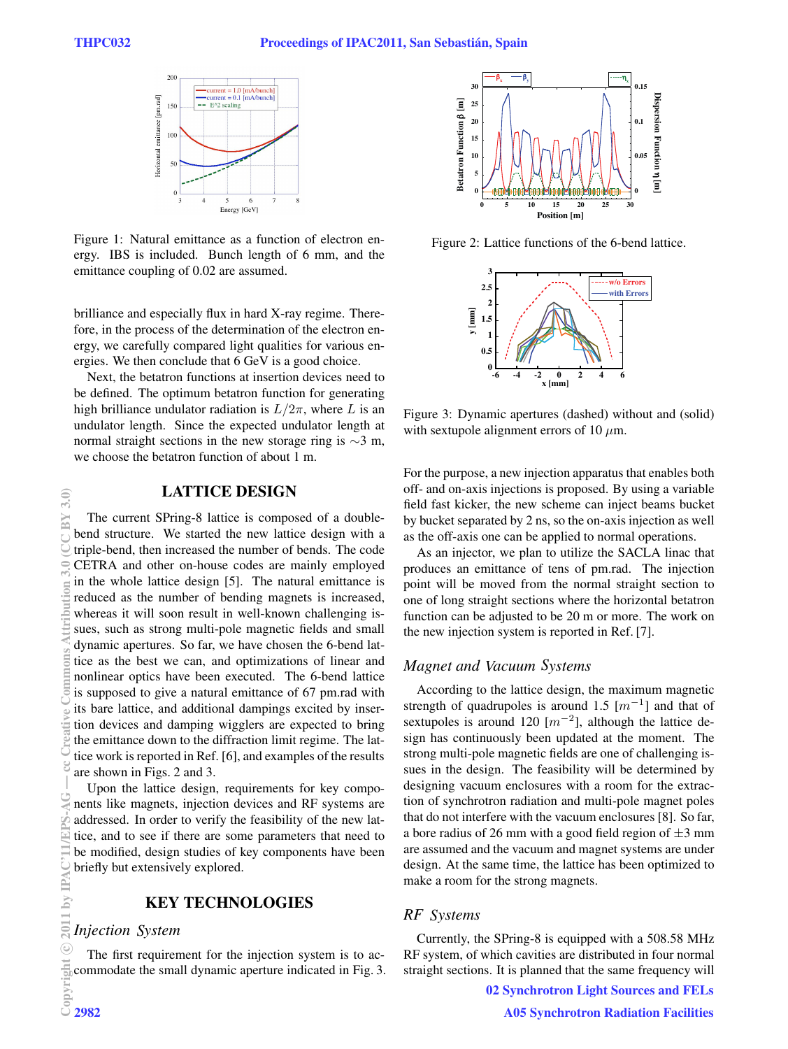

Figure 1: Natural emittance as a function of electron energy. IBS is included. Bunch length of 6 mm, and the emittance coupling of 0.02 are assumed.

brilliance and especially flux in hard X-ray regime. Therefore, in the process of the determination of the electron energy, we carefully compared light qualities for various energies. We then conclude that 6 GeV is a good choice.

Next, the betatron functions at insertion devices need to be defined. The optimum betatron function for generating high brilliance undulator radiation is  $L/2\pi$ , where L is an undulator length. Since the expected undulator length at normal straight sections in the new storage ring is ∼3 m, we choose the betatron function of about 1 m.

# LATTICE DESIGN

The current SPring-8 lattice is composed of a doublebend structure. We started the new lattice design with a triple-bend, then increased the number of bends. The code CETRA and other on-house codes are mainly employed in the whole lattice design [5]. The natural emittance is reduced as the number of bending magnets is increased, whereas it will soon result in well-known challenging issues, such as strong multi-pole magnetic fields and small dynamic apertures. So far, we have chosen the 6-bend lattice as the best we can, and optimizations of linear and nonlinear optics have been executed. The 6-bend lattice is supposed to give a natural emittance of 67 pm.rad with its bare lattice, and additional dampings excited by insertion devices and damping wigglers are expected to bring the emittance down to the diffraction limit regime. The lattice work is reported in Ref. [6], and examples of the results are shown in Figs. 2 and 3.

Upon the lattice design, requirements for key components like magnets, injection devices and RF systems are addressed. In order to verify the feasibility of the new lattice, and to see if there are some parameters that need to be modified, design studies of key components have been briefly but extensively explored.

# KEY TECHNOLOGIES

# *Injection System*

The first requirement for the injection system is to accommodate the small dynamic aperture indicated in Fig. 3.



Figure 2: Lattice functions of the 6-bend lattice.



Figure 3: Dynamic apertures (dashed) without and (solid) with sextupole alignment errors of 10  $\mu$ m.

For the purpose, a new injection apparatus that enables both off- and on-axis injections is proposed. By using a variable field fast kicker, the new scheme can inject beams bucket by bucket separated by 2 ns, so the on-axis injection as well as the off-axis one can be applied to normal operations.

As an injector, we plan to utilize the SACLA linac that produces an emittance of tens of pm.rad. The injection point will be moved from the normal straight section to one of long straight sections where the horizontal betatron function can be adjusted to be 20 m or more. The work on the new injection system is reported in Ref. [7].

# *Magnet and Vacuum Systems*

According to the lattice design, the maximum magnetic strength of quadrupoles is around 1.5  $[m^{-1}]$  and that of sextupoles is around 120  $\lfloor m^{-2} \rfloor$ , although the lattice design has continuously been updated at the moment. The strong multi-pole magnetic fields are one of challenging issues in the design. The feasibility will be determined by designing vacuum enclosures with a room for the extraction of synchrotron radiation and multi-pole magnet poles that do not interfere with the vacuum enclosures [8]. So far, a bore radius of 26 mm with a good field region of  $\pm 3$  mm are assumed and the vacuum and magnet systems are under design. At the same time, the lattice has been optimized to make a room for the strong magnets.

# *RF ystems S*

Currently, the SPring-8 is equipped with a 508.58 MHz RF system, of which cavities are distributed in four normal straight sections. It is planned that the same frequency will